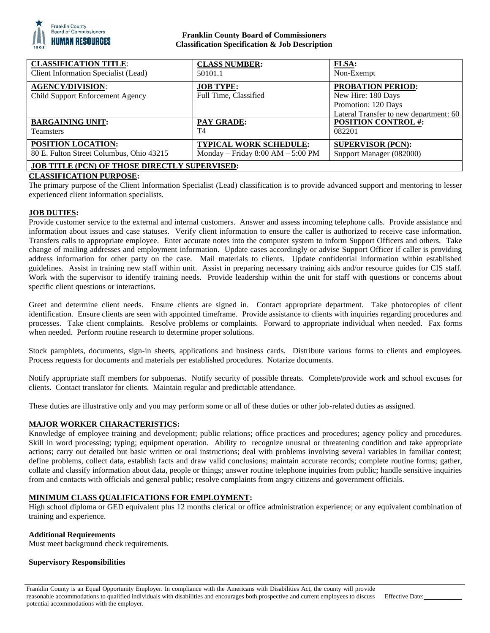

## **Franklin County Board of Commissioners Classification Specification & Job Description**

| <b>CLASSIFICATION TITLE:</b>                                | <b>CLASS NUMBER:</b>                      | <b>FLSA:</b>                                                                                                    |
|-------------------------------------------------------------|-------------------------------------------|-----------------------------------------------------------------------------------------------------------------|
| Client Information Specialist (Lead)                        | 50101.1                                   | Non-Exempt                                                                                                      |
| <b>AGENCY/DIVISION:</b><br>Child Support Enforcement Agency | <b>JOB TYPE:</b><br>Full Time, Classified | <b>PROBATION PERIOD:</b><br>New Hire: 180 Days<br>Promotion: 120 Days<br>Lateral Transfer to new department: 60 |
| <b>BARGAINING UNIT:</b>                                     | <b>PAY GRADE:</b>                         | <b>POSITION CONTROL #:</b>                                                                                      |
| <b>Teamsters</b>                                            | T4                                        | 082201                                                                                                          |
| <b>POSITION LOCATION:</b>                                   | <b>TYPICAL WORK SCHEDULE:</b>             | <b>SUPERVISOR (PCN):</b>                                                                                        |
| 80 E. Fulton Street Columbus, Ohio 43215                    | Monday – Friday $8:00$ AM – $5:00$ PM     | Support Manager (082000)                                                                                        |
| <b>JOB TITLE (PCN) OF THOSE DIRECTLY SUPERVISED:</b>        |                                           |                                                                                                                 |

# **CLASSIFICATION PURPOSE:**

The primary purpose of the Client Information Specialist (Lead) classification is to provide advanced support and mentoring to lesser experienced client information specialists.

### **JOB DUTIES:**

Provide customer service to the external and internal customers. Answer and assess incoming telephone calls. Provide assistance and information about issues and case statuses. Verify client information to ensure the caller is authorized to receive case information. Transfers calls to appropriate employee. Enter accurate notes into the computer system to inform Support Officers and others. Take change of mailing addresses and employment information. Update cases accordingly or advise Support Officer if caller is providing address information for other party on the case. Mail materials to clients. Update confidential information within established guidelines. Assist in training new staff within unit. Assist in preparing necessary training aids and/or resource guides for CIS staff. Work with the supervisor to identify training needs. Provide leadership within the unit for staff with questions or concerns about specific client questions or interactions.

Greet and determine client needs. Ensure clients are signed in. Contact appropriate department. Take photocopies of client identification. Ensure clients are seen with appointed timeframe. Provide assistance to clients with inquiries regarding procedures and processes. Take client complaints. Resolve problems or complaints. Forward to appropriate individual when needed. Fax forms when needed. Perform routine research to determine proper solutions.

Stock pamphlets, documents, sign-in sheets, applications and business cards. Distribute various forms to clients and employees. Process requests for documents and materials per established procedures. Notarize documents.

Notify appropriate staff members for subpoenas. Notify security of possible threats. Complete/provide work and school excuses for clients. Contact translator for clients. Maintain regular and predictable attendance.

These duties are illustrative only and you may perform some or all of these duties or other job-related duties as assigned.

### **MAJOR WORKER CHARACTERISTICS:**

Knowledge of employee training and development; public relations; office practices and procedures; agency policy and procedures. Skill in word processing; typing; equipment operation. Ability to recognize unusual or threatening condition and take appropriate actions; carry out detailed but basic written or oral instructions; deal with problems involving several variables in familiar contest; define problems, collect data, establish facts and draw valid conclusions; maintain accurate records; complete routine forms; gather, collate and classify information about data, people or things; answer routine telephone inquiries from public; handle sensitive inquiries from and contacts with officials and general public; resolve complaints from angry citizens and government officials.

### **MINIMUM CLASS QUALIFICATIONS FOR EMPLOYMENT:**

High school diploma or GED equivalent plus 12 months clerical or office administration experience; or any equivalent combination of training and experience.

### **Additional Requirements**

Must meet background check requirements.

### **Supervisory Responsibilities**

Franklin County is an Equal Opportunity Employer. In compliance with the Americans with Disabilities Act, the county will provide reasonable accommodations to qualified individuals with disabilities and encourages both prospective and current employees to discuss potential accommodations with the employer.

Effective Date: